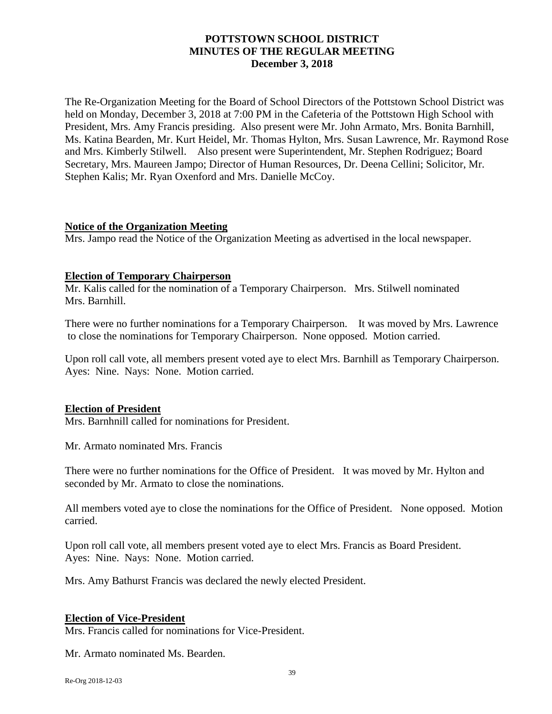# **POTTSTOWN SCHOOL DISTRICT MINUTES OF THE REGULAR MEETING December 3, 2018**

The Re-Organization Meeting for the Board of School Directors of the Pottstown School District was held on Monday, December 3, 2018 at 7:00 PM in the Cafeteria of the Pottstown High School with President, Mrs. Amy Francis presiding. Also present were Mr. John Armato, Mrs. Bonita Barnhill, Ms. Katina Bearden, Mr. Kurt Heidel, Mr. Thomas Hylton, Mrs. Susan Lawrence, Mr. Raymond Rose and Mrs. Kimberly Stilwell. Also present were Superintendent, Mr. Stephen Rodriguez; Board Secretary, Mrs. Maureen Jampo; Director of Human Resources, Dr. Deena Cellini; Solicitor, Mr. Stephen Kalis; Mr. Ryan Oxenford and Mrs. Danielle McCoy.

## **Notice of the Organization Meeting**

Mrs. Jampo read the Notice of the Organization Meeting as advertised in the local newspaper.

## **Election of Temporary Chairperson**

Mr. Kalis called for the nomination of a Temporary Chairperson. Mrs. Stilwell nominated Mrs. Barnhill.

There were no further nominations for a Temporary Chairperson. It was moved by Mrs. Lawrence to close the nominations for Temporary Chairperson. None opposed. Motion carried.

Upon roll call vote, all members present voted aye to elect Mrs. Barnhill as Temporary Chairperson. Ayes: Nine. Nays: None. Motion carried.

# **Election of President**

Mrs. Barnhnill called for nominations for President.

Mr. Armato nominated Mrs. Francis

There were no further nominations for the Office of President. It was moved by Mr. Hylton and seconded by Mr. Armato to close the nominations.

All members voted aye to close the nominations for the Office of President. None opposed. Motion carried.

Upon roll call vote, all members present voted aye to elect Mrs. Francis as Board President. Ayes: Nine. Nays: None. Motion carried.

Mrs. Amy Bathurst Francis was declared the newly elected President.

#### **Election of Vice-President**

Mrs. Francis called for nominations for Vice-President.

Mr. Armato nominated Ms. Bearden.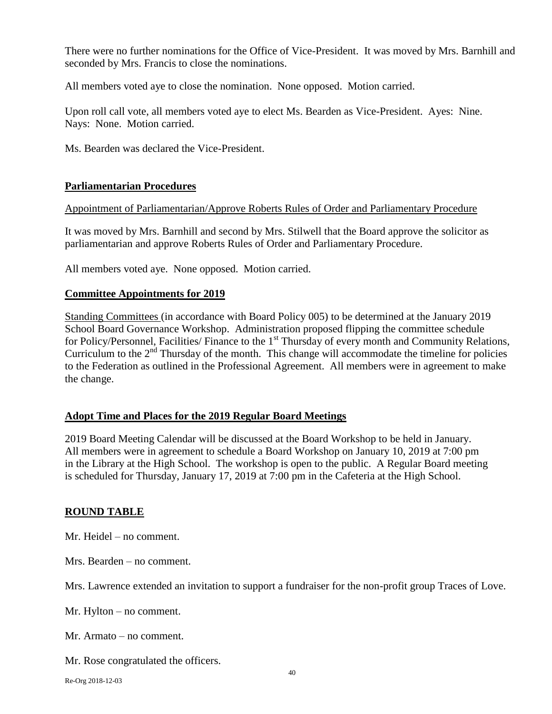There were no further nominations for the Office of Vice-President. It was moved by Mrs. Barnhill and seconded by Mrs. Francis to close the nominations.

All members voted aye to close the nomination. None opposed. Motion carried.

Upon roll call vote, all members voted aye to elect Ms. Bearden as Vice-President. Ayes: Nine. Nays: None. Motion carried.

Ms. Bearden was declared the Vice-President.

# **Parliamentarian Procedures**

Appointment of Parliamentarian/Approve Roberts Rules of Order and Parliamentary Procedure

It was moved by Mrs. Barnhill and second by Mrs. Stilwell that the Board approve the solicitor as parliamentarian and approve Roberts Rules of Order and Parliamentary Procedure.

All members voted aye. None opposed. Motion carried.

## **Committee Appointments for 2019**

Standing Committees (in accordance with Board Policy 005) to be determined at the January 2019 School Board Governance Workshop. Administration proposed flipping the committee schedule for Policy/Personnel, Facilities/ Finance to the 1<sup>st</sup> Thursday of every month and Community Relations, Curriculum to the  $2<sup>nd</sup>$  Thursday of the month. This change will accommodate the timeline for policies to the Federation as outlined in the Professional Agreement. All members were in agreement to make the change.

# **Adopt Time and Places for the 2019 Regular Board Meetings**

2019 Board Meeting Calendar will be discussed at the Board Workshop to be held in January. All members were in agreement to schedule a Board Workshop on January 10, 2019 at 7:00 pm in the Library at the High School. The workshop is open to the public. A Regular Board meeting is scheduled for Thursday, January 17, 2019 at 7:00 pm in the Cafeteria at the High School.

# **ROUND TABLE**

Mr. Heidel – no comment.

Mrs. Bearden – no comment.

Mrs. Lawrence extended an invitation to support a fundraiser for the non-profit group Traces of Love.

Mr. Hylton – no comment.

Mr. Armato – no comment.

Mr. Rose congratulated the officers.